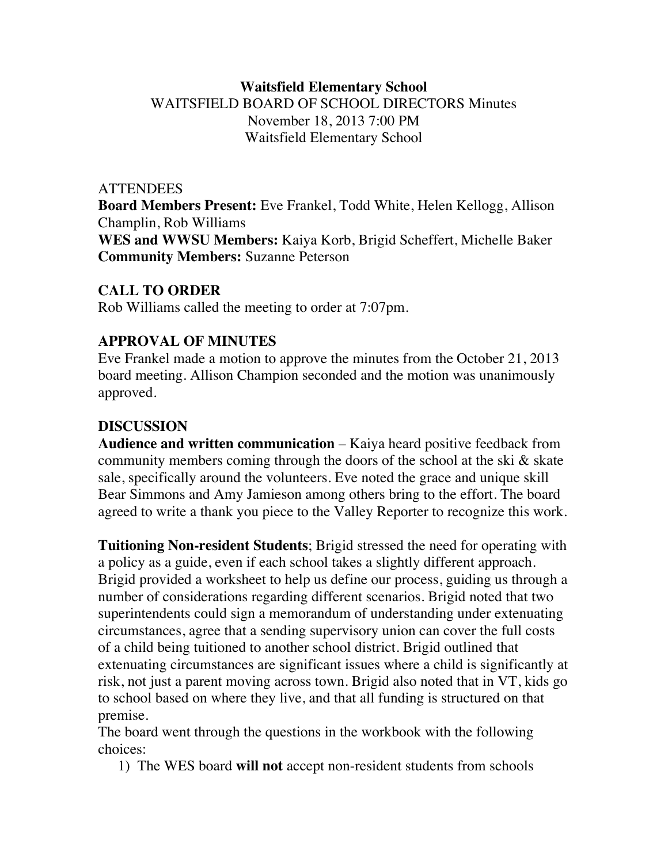## **Waitsfield Elementary School** WAITSFIELD BOARD OF SCHOOL DIRECTORS Minutes November 18, 2013 7:00 PM Waitsfield Elementary School

### **ATTENDEES**

**Board Members Present:** Eve Frankel, Todd White, Helen Kellogg, Allison Champlin, Rob Williams **WES and WWSU Members:** Kaiya Korb, Brigid Scheffert, Michelle Baker **Community Members:** Suzanne Peterson

### **CALL TO ORDER**

Rob Williams called the meeting to order at 7:07pm.

### **APPROVAL OF MINUTES**

Eve Frankel made a motion to approve the minutes from the October 21, 2013 board meeting. Allison Champion seconded and the motion was unanimously approved.

## **DISCUSSION**

**Audience and written communication** – Kaiya heard positive feedback from community members coming through the doors of the school at the ski & skate sale, specifically around the volunteers. Eve noted the grace and unique skill Bear Simmons and Amy Jamieson among others bring to the effort. The board agreed to write a thank you piece to the Valley Reporter to recognize this work.

**Tuitioning Non-resident Students**; Brigid stressed the need for operating with a policy as a guide, even if each school takes a slightly different approach. Brigid provided a worksheet to help us define our process, guiding us through a number of considerations regarding different scenarios. Brigid noted that two superintendents could sign a memorandum of understanding under extenuating circumstances, agree that a sending supervisory union can cover the full costs of a child being tuitioned to another school district. Brigid outlined that extenuating circumstances are significant issues where a child is significantly at risk, not just a parent moving across town. Brigid also noted that in VT, kids go to school based on where they live, and that all funding is structured on that premise.

The board went through the questions in the workbook with the following choices:

1) The WES board **will not** accept non-resident students from schools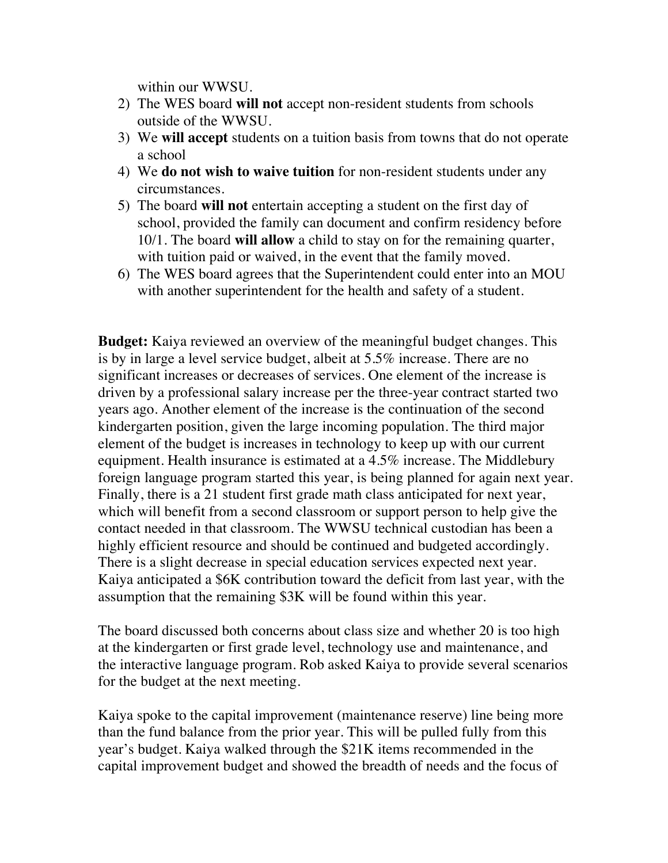within our WWSU.

- 2) The WES board **will not** accept non-resident students from schools outside of the WWSU.
- 3) We **will accept** students on a tuition basis from towns that do not operate a school
- 4) We **do not wish to waive tuition** for non-resident students under any circumstances.
- 5) The board **will not** entertain accepting a student on the first day of school, provided the family can document and confirm residency before 10/1. The board **will allow** a child to stay on for the remaining quarter, with tuition paid or waived, in the event that the family moved.
- 6) The WES board agrees that the Superintendent could enter into an MOU with another superintendent for the health and safety of a student.

**Budget:** Kaiya reviewed an overview of the meaningful budget changes. This is by in large a level service budget, albeit at 5.5% increase. There are no significant increases or decreases of services. One element of the increase is driven by a professional salary increase per the three-year contract started two years ago. Another element of the increase is the continuation of the second kindergarten position, given the large incoming population. The third major element of the budget is increases in technology to keep up with our current equipment. Health insurance is estimated at a 4.5% increase. The Middlebury foreign language program started this year, is being planned for again next year. Finally, there is a 21 student first grade math class anticipated for next year, which will benefit from a second classroom or support person to help give the contact needed in that classroom. The WWSU technical custodian has been a highly efficient resource and should be continued and budgeted accordingly. There is a slight decrease in special education services expected next year. Kaiya anticipated a \$6K contribution toward the deficit from last year, with the assumption that the remaining \$3K will be found within this year.

The board discussed both concerns about class size and whether 20 is too high at the kindergarten or first grade level, technology use and maintenance, and the interactive language program. Rob asked Kaiya to provide several scenarios for the budget at the next meeting.

Kaiya spoke to the capital improvement (maintenance reserve) line being more than the fund balance from the prior year. This will be pulled fully from this year's budget. Kaiya walked through the \$21K items recommended in the capital improvement budget and showed the breadth of needs and the focus of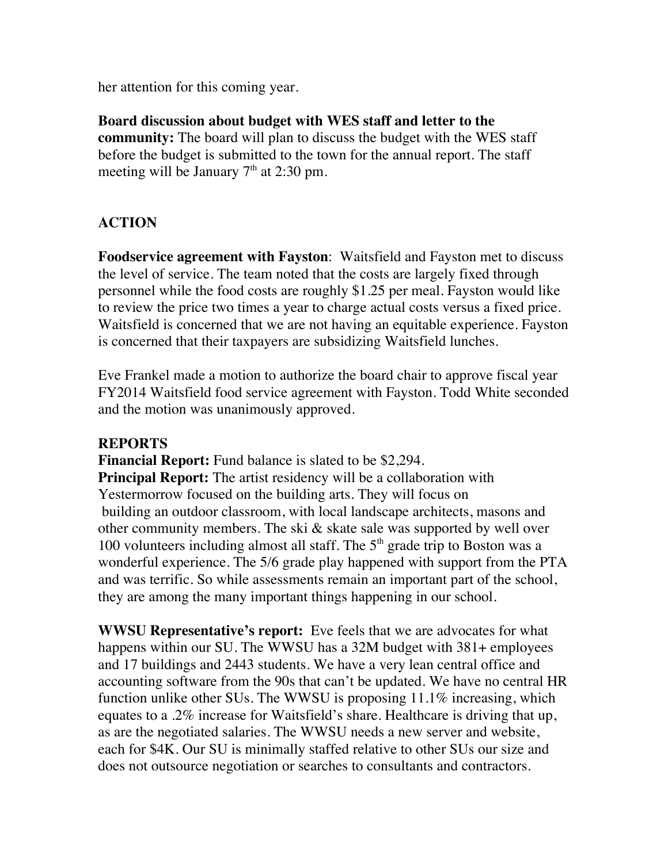her attention for this coming year.

**Board discussion about budget with WES staff and letter to the community:** The board will plan to discuss the budget with the WES staff before the budget is submitted to the town for the annual report. The staff meeting will be January  $7<sup>th</sup>$  at 2:30 pm.

# **ACTION**

**Foodservice agreement with Fayston**: Waitsfield and Fayston met to discuss the level of service. The team noted that the costs are largely fixed through personnel while the food costs are roughly \$1.25 per meal. Fayston would like to review the price two times a year to charge actual costs versus a fixed price. Waitsfield is concerned that we are not having an equitable experience. Fayston is concerned that their taxpayers are subsidizing Waitsfield lunches.

Eve Frankel made a motion to authorize the board chair to approve fiscal year FY2014 Waitsfield food service agreement with Fayston. Todd White seconded and the motion was unanimously approved.

### **REPORTS**

**Financial Report:** Fund balance is slated to be \$2,294. **Principal Report:** The artist residency will be a collaboration with Yestermorrow focused on the building arts. They will focus on building an outdoor classroom, with local landscape architects, masons and other community members. The ski & skate sale was supported by well over 100 volunteers including almost all staff. The  $5<sup>th</sup>$  grade trip to Boston was a wonderful experience. The 5/6 grade play happened with support from the PTA and was terrific. So while assessments remain an important part of the school, they are among the many important things happening in our school.

**WWSU Representative's report:** Eve feels that we are advocates for what happens within our SU. The WWSU has a 32M budget with 381+ employees and 17 buildings and 2443 students. We have a very lean central office and accounting software from the 90s that can't be updated. We have no central HR function unlike other SUs. The WWSU is proposing 11.1% increasing, which equates to a .2% increase for Waitsfield's share. Healthcare is driving that up, as are the negotiated salaries. The WWSU needs a new server and website, each for \$4K. Our SU is minimally staffed relative to other SUs our size and does not outsource negotiation or searches to consultants and contractors.